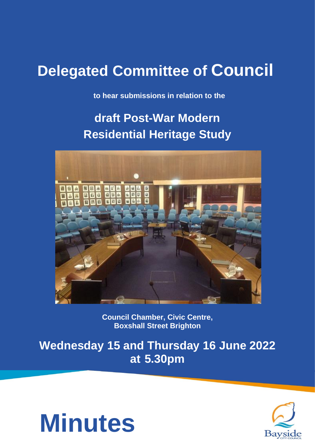# **Delegated Committee of Council**

**to hear submissions in relation to the**

# **draft Post-War Modern Residential Heritage Study**



**Council Chamber, Civic Centre, Boxshall Street Brighton**

**Wednesday 15 and Thursday 16 June 2022 at 5.30pm**



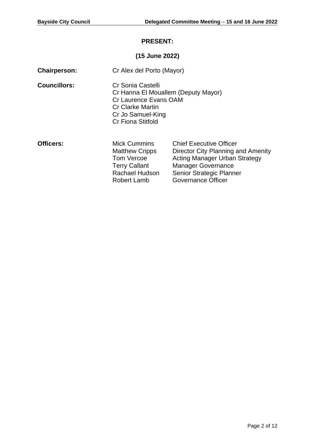# **PRESENT:**

# **(15 June 2022)**

| <b>Chairperson:</b> | Cr Alex del Porto (Mayor)                                                                                                                                     |                                                                                                                                                                                             |
|---------------------|---------------------------------------------------------------------------------------------------------------------------------------------------------------|---------------------------------------------------------------------------------------------------------------------------------------------------------------------------------------------|
| <b>Councillors:</b> | Cr Sonia Castelli<br>Cr Hanna El Mouallem (Deputy Mayor)<br>Cr Laurence Evans OAM<br><b>Cr Clarke Martin</b><br>Cr Jo Samuel-King<br><b>Cr Fiona Stitfold</b> |                                                                                                                                                                                             |
| <b>Officers:</b>    | <b>Mick Cummins</b><br><b>Matthew Cripps</b><br>Tom Vercoe<br><b>Terry Callant</b><br>Rachael Hudson<br><b>Robert Lamb</b>                                    | <b>Chief Executive Officer</b><br>Director City Planning and Amenity<br><b>Acting Manager Urban Strategy</b><br><b>Manager Governance</b><br>Senior Strategic Planner<br>Governance Officer |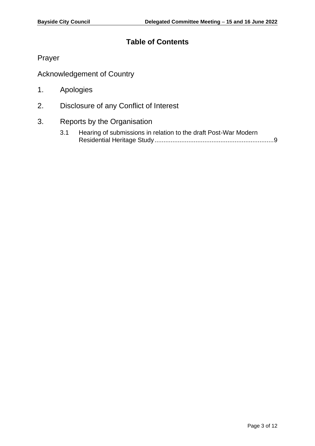# **Table of Contents**

Prayer

Acknowledgement of Country

- 1. Apologies
- 2. Disclosure of any Conflict of Interest
- 3. Reports by the Organisation
	- 3.1 Hearing of submissions in relation to the draft Post-War Modern Residential Heritage Study..................................................................[.9](#page-8-0)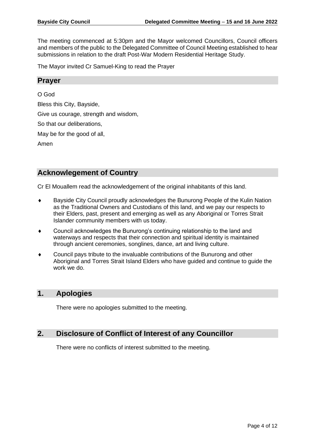The meeting commenced at 5:30pm and the Mayor welcomed Councillors, Council officers and members of the public to the Delegated Committee of Council Meeting established to hear submissions in relation to the draft Post-War Modern Residential Heritage Study.

The Mayor invited Cr Samuel-King to read the Prayer

# **Prayer**

O God Bless this City, Bayside, Give us courage, strength and wisdom,

So that our deliberations,

May be for the good of all,

Amen

# **Acknowlegement of Country**

Cr El Mouallem read the acknowledgement of the original inhabitants of this land.

- Bayside City Council proudly acknowledges the Bunurong People of the Kulin Nation as the Traditional Owners and Custodians of this land, and we pay our respects to their Elders, past, present and emerging as well as any Aboriginal or Torres Strait Islander community members with us today.
- Council acknowledges the Bunurong's continuing relationship to the land and waterways and respects that their connection and spiritual identity is maintained through ancient ceremonies, songlines, dance, art and living culture.
- Council pays tribute to the invaluable contributions of the Bunurong and other Aboriginal and Torres Strait Island Elders who have guided and continue to guide the work we do.

# **1. Apologies**

There were no apologies submitted to the meeting.

# **2. Disclosure of Conflict of Interest of any Councillor**

There were no conflicts of interest submitted to the meeting.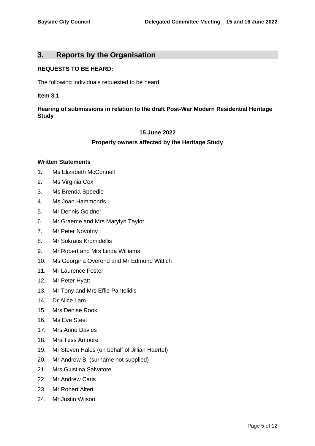# **3. Reports by the Organisation**

#### **REQUESTS TO BE HEARD:**

The following individuals requested to be heard:

#### **Item 3.1**

### **Hearing of submissions in relation to the draft Post-War Modern Residential Heritage Study**

#### **15 June 2022**

#### **Property owners affected by the Heritage Study**

#### **Written Statements**

- 1. Ms Elizabeth McConnell
- 2. Ms Virginia Cox
- 3. Ms Brenda Speedie
- 4. Ms Joan Hammonds
- 5. Mr Dennis Goldner
- 6. Mr Graeme and Mrs Marylyn Taylor
- 7. Mr Peter Novotny
- 8. Mr Sokratis Kromidellis
- 9. Mr Robert and Mrs Linda Williams
- 10. Ms Georgina Overend and Mr Edmund Wittich
- 11. Mr Laurence Foster
- 12. Mr Peter Hyatt
- 13. Mr Tony and Mrs Effie Pantelidis
- 14. Dr Alice Lam
- 15. Mrs Denise Rook
- 16. Ms Eve Steel
- 17. Mrs Anne Davies
- 18. Mrs Tess Amoore
- 19. Mr Steven Hales (on behalf of Jillian Haertel)
- 20. Mr Andrew B. (surname not supplied)
- 21. Mrs Giustina Salvatore
- 22. Mr Andrew Caris
- 23. Mr Robert Alteri
- 24. Mr Justin Wilson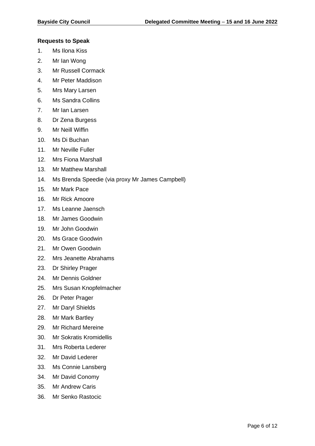#### **Requests to Speak**

- 1. Ms Ilona Kiss
- 2. Mr Ian Wong
- 3. Mr Russell Cormack
- 4. Mr Peter Maddison
- 5. Mrs Mary Larsen
- 6. Ms Sandra Collins
- 7. Mr Ian Larsen
- 8. Dr Zena Burgess
- 9. Mr Neill Wiffin
- 10. Ms Di Buchan
- 11. Mr Neville Fuller
- 12. Mrs Fiona Marshall
- 13. Mr Matthew Marshall
- 14. Ms Brenda Speedie (via proxy Mr James Campbell)
- 15. Mr Mark Pace
- 16. Mr Rick Amoore
- 17. Ms Leanne Jaensch
- 18. Mr James Goodwin
- 19. Mr John Goodwin
- 20. Ms Grace Goodwin
- 21. Mr Owen Goodwin
- 22. Mrs Jeanette Abrahams
- 23. Dr Shirley Prager
- 24. Mr Dennis Goldner
- 25. Mrs Susan Knopfelmacher
- 26. Dr Peter Prager
- 27. Mr Daryl Shields
- 28. Mr Mark Bartley
- 29. Mr Richard Mereine
- 30. Mr Sokratis Kromidellis
- 31. Mrs Roberta Lederer
- 32. Mr David Lederer
- 33. Ms Connie Lansberg
- 34. Mr David Conomy
- 35. Mr Andrew Caris
- 36. Mr Senko Rastocic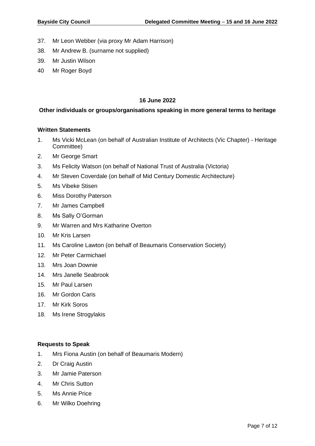- 37. Mr Leon Webber (via proxy Mr Adam Harrison)
- 38. Mr Andrew B. (surname not supplied)
- 39. Mr Justin Wilson
- 40 Mr Roger Boyd

#### **16 June 2022**

### **Other individuals or groups/organisations speaking in more general terms to heritage**

#### **Written Statements**

- 1. Ms Vicki McLean (on behalf of Australian Institute of Architects (Vic Chapter) Heritage Committee)
- 2. Mr George Smart
- 3. Ms Felicity Watson (on behalf of National Trust of Australia (Victoria)
- 4. Mr Steven Coverdale (on behalf of Mid Century Domestic Architecture)
- 5. Ms Vibeke Stisen
- 6. Miss Dorothy Paterson
- 7. Mr James Campbell
- 8. Ms Sally O'Gorman
- 9. Mr Warren and Mrs Katharine Overton
- 10. Mr Kris Larsen
- 11. Ms Caroline Lawton (on behalf of Beaumaris Conservation Society)
- 12. Mr Peter Carmichael
- 13. Mrs Joan Downie
- 14. Mrs Janelle Seabrook
- 15. Mr Paul Larsen
- 16. Mr Gordon Caris
- 17. Mr Kirk Soros
- 18. Ms Irene Strogylakis

#### **Requests to Speak**

- 1. Mrs Fiona Austin (on behalf of Beaumaris Modern)
- 2. Dr Craig Austin
- 3. Mr Jamie Paterson
- 4. Mr Chris Sutton
- 5. Ms Annie Price
- 6. Mr Wilko Doehring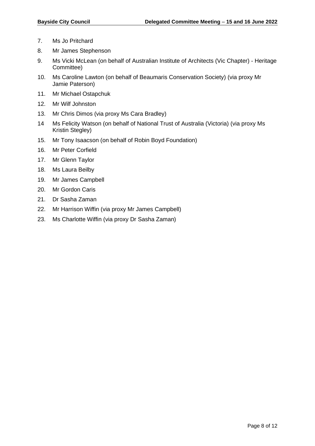- 7. Ms Jo Pritchard
- 8. Mr James Stephenson
- 9. Ms Vicki McLean (on behalf of Australian Institute of Architects (Vic Chapter) Heritage Committee)
- 10. Ms Caroline Lawton (on behalf of Beaumaris Conservation Society) (via proxy Mr Jamie Paterson)
- 11. Mr Michael Ostapchuk
- 12. Mr Wilf Johnston
- 13. Mr Chris Dimos (via proxy Ms Cara Bradley)
- 14 Ms Felicity Watson (on behalf of National Trust of Australia (Victoria) (via proxy Ms Kristin Stegley)
- 15. Mr Tony Isaacson (on behalf of Robin Boyd Foundation)
- 16. Mr Peter Corfield
- 17. Mr Glenn Taylor
- 18. Ms Laura Beilby
- 19. Mr James Campbell
- 20. Mr Gordon Caris
- 21. Dr Sasha Zaman
- 22. Mr Harrison Wiffin (via proxy Mr James Campbell)
- 23. Ms Charlotte Wiffin (via proxy Dr Sasha Zaman)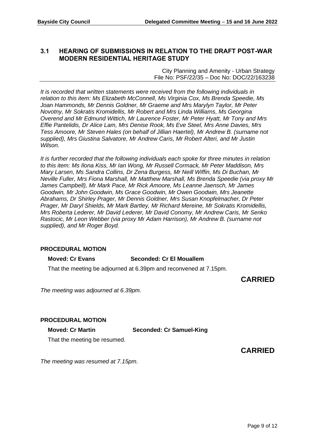# <span id="page-8-0"></span>**3.1 HEARING OF SUBMISSIONS IN RELATION TO THE DRAFT POST-WAR MODERN RESIDENTIAL HERITAGE STUDY**

City Planning and Amenity - Urban Strategy File No: PSF/22/35 – Doc No: DOC/22/163238

*It is recorded that written statements were received from the following individuals in relation to this item: Ms Elizabeth McConnell, Ms Virginia Cox, Ms Brenda Speedie, Ms Joan Hammonds, Mr Dennis Goldner, Mr Graeme and Mrs Marylyn Taylor, Mr Peter Novotny, Mr Sokratis Kromidellis, Mr Robert and Mrs Linda Williams, Ms Georgina Overend and Mr Edmund Wittich, Mr Laurence Foster, Mr Peter Hyatt, Mr Tony and Mrs Effie Pantelidis, Dr Alice Lam, Mrs Denise Rook, Ms Eve Steel, Mrs Anne Davies, Mrs Tess Amoore, Mr Steven Hales (on behalf of Jillian Haertel), Mr Andrew B. (surname not supplied), Mrs Giustina Salvatore, Mr Andrew Caris, Mr Robert Alteri, and Mr Justin Wilson.*

*It is further recorded that the following individuals each spoke for three minutes in relation to this item: Ms Ilona Kiss, Mr Ian Wong, Mr Russell Cormack, Mr Peter Maddison, Mrs Mary Larsen, Ms Sandra Collins, Dr Zena Burgess, Mr Neill Wiffin, Ms Di Buchan, Mr Neville Fuller, Mrs Fiona Marshall, Mr Matthew Marshall, Ms Brenda Speedie (via proxy Mr James Campbell), Mr Mark Pace, Mr Rick Amoore, Ms Leanne Jaensch, Mr James Goodwin, Mr John Goodwin, Ms Grace Goodwin, Mr Owen Goodwin, Mrs Jeanette Abrahams, Dr Shirley Prager, Mr Dennis Goldner, Mrs Susan Knopfelmacher, Dr Peter Prager, Mr Daryl Shields, Mr Mark Bartley, Mr Richard Mereine, Mr Sokratis Kromidellis, Mrs Roberta Lederer, Mr David Lederer, Mr David Conomy, Mr Andrew Caris, Mr Senko Rastocic, Mr Leon Webber (via proxy Mr Adam Harrison), Mr Andrew B. (surname not supplied), and Mr Roger Boyd.*

#### **PROCEDURAL MOTION**

#### **Moved: Cr Evans Seconded: Cr El Mouallem**

That the meeting be adjourned at 6.39pm and reconvened at 7.15pm.

**CARRIED**

*The meeting was adjourned at 6.39pm.*

# **PROCEDURAL MOTION**

#### **Moved: Cr Martin Seconded: Cr Samuel-King**

That the meeting be resumed.

**CARRIED**

*The meeting was resumed at 7.15pm.*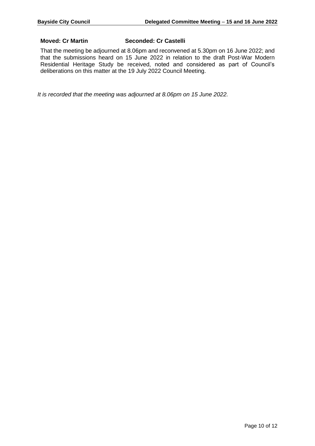#### **Moved: Cr Martin Seconded: Cr Castelli**

That the meeting be adjourned at 8.06pm and reconvened at 5.30pm on 16 June 2022; and that the submissions heard on 15 June 2022 in relation to the draft Post-War Modern Residential Heritage Study be received, noted and considered as part of Council's deliberations on this matter at the 19 July 2022 Council Meeting.

*It is recorded that the meeting was adjourned at 8.06pm on 15 June 2022.*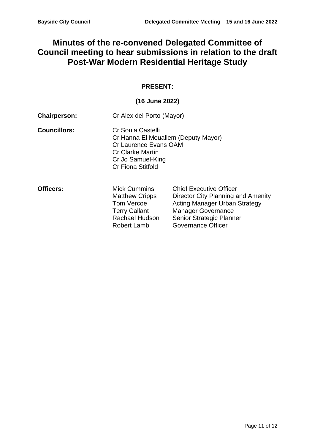# **Minutes of the re-convened Delegated Committee of Council meeting to hear submissions in relation to the draft Post-War Modern Residential Heritage Study**

# **PRESENT:**

# **(16 June 2022)**

| <b>Chairperson:</b> | Cr Alex del Porto (Mayor)                                                                                                                                     |                                                                                                                                                                                                    |
|---------------------|---------------------------------------------------------------------------------------------------------------------------------------------------------------|----------------------------------------------------------------------------------------------------------------------------------------------------------------------------------------------------|
| <b>Councillors:</b> | Cr Sonia Castelli<br>Cr Hanna El Mouallem (Deputy Mayor)<br>Cr Laurence Evans OAM<br><b>Cr Clarke Martin</b><br>Cr Jo Samuel-King<br><b>Cr Fiona Stitfold</b> |                                                                                                                                                                                                    |
| <b>Officers:</b>    | <b>Mick Cummins</b><br><b>Matthew Cripps</b><br>Tom Vercoe<br><b>Terry Callant</b><br>Rachael Hudson<br>Robert Lamb                                           | <b>Chief Executive Officer</b><br>Director City Planning and Amenity<br><b>Acting Manager Urban Strategy</b><br><b>Manager Governance</b><br>Senior Strategic Planner<br><b>Governance Officer</b> |